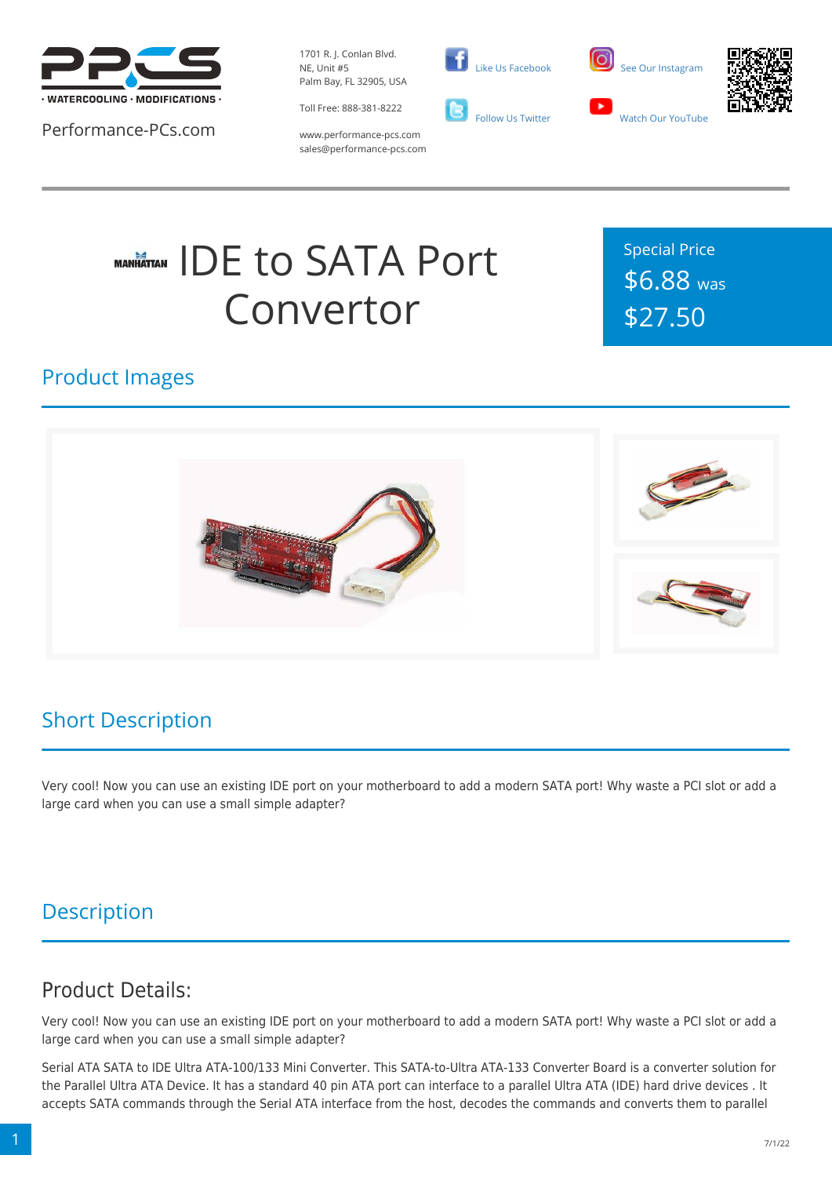

Performance-PCs.com

1701 R. J. Conlan Blvd. NE, Unit #5 Palm Bay, FL 32905, USA

Toll Free: 888-381-8222





www.performance-pcs.com sales@performance-pcs.com

# **MANHATTAN IDE to SATA Port** Convertor

Special Price \$6.88 was \$27.50

#### Product Images



# Short Description

Very cool! Now you can use an existing IDE port on your motherboard to add a modern SATA port! Why waste a PCI slot or add a large card when you can use a small simple adapter?

# **Description**

### Product Details:

Very cool! Now you can use an existing IDE port on your motherboard to add a modern SATA port! Why waste a PCI slot or add a large card when you can use a small simple adapter?

Serial ATA SATA to IDE Ultra ATA-100/133 Mini Converter. This SATA-to-Ultra ATA-133 Converter Board is a converter solution for the Parallel Ultra ATA Device. It has a standard 40 pin ATA port can interface to a parallel Ultra ATA (IDE) hard drive devices . It accepts SATA commands through the Serial ATA interface from the host, decodes the commands and converts them to parallel